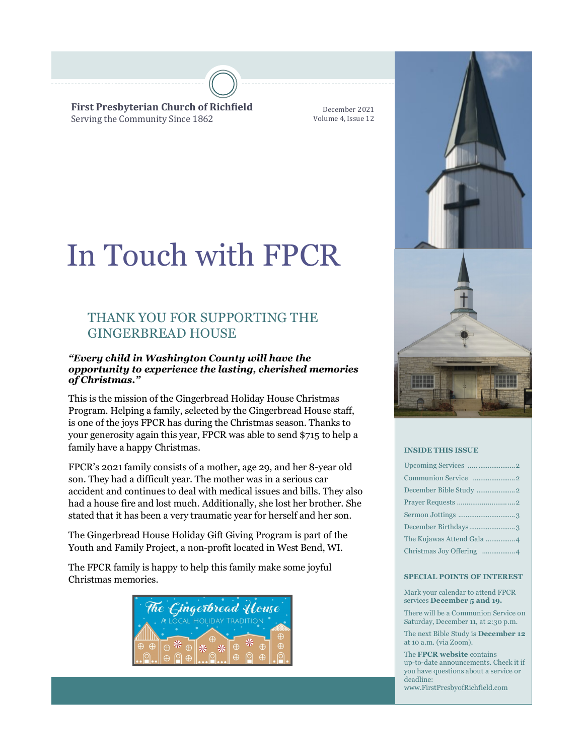**First Presbyterian Church of Richfield** Serving the Community Since 1862

December 2021 Volume 4, Issue 12

# In Touch with FPCR

# THANK YOU FOR SUPPORTING THE GINGERBREAD HOUSE

### *"Every child in Washington County will have the opportunity to experience the lasting, cherished memories of Christmas."*

This is the mission of the Gingerbread Holiday House Christmas Program. Helping a family, selected by the Gingerbread House staff, is one of the joys FPCR has during the Christmas season. Thanks to your generosity again this year, FPCR was able to send \$715 to help a family have a happy Christmas.

FPCR's 2021 family consists of a mother, age 29, and her 8-year old son. They had a difficult year. The mother was in a serious car accident and continues to deal with medical issues and bills. They also had a house fire and lost much. Additionally, she lost her brother. She stated that it has been a very traumatic year for herself and her son.

The Gingerbread House Holiday Gift Giving Program is part of the Youth and Family Project, a non-profit located in West Bend, WI.

The FPCR family is happy to help this family make some joyful Christmas memories.







#### **INSIDE THIS ISSUE**

| December Birthdays3       |
|---------------------------|
| The Kujawas Attend Gala 4 |
|                           |

#### **SPECIAL POINTS OF INTEREST**

Mark your calendar to attend FPCR services **December 5 and 19.** 

There will be a Communion Service on Saturday, December 11, at 2:30 p.m.

The next Bible Study is **December 12**  at 10 a.m. (via Zoom).

The **FPCR website** contains up-to-date announcements. Check it if you have questions about a service or deadline: www.FirstPresbyofRichfield.com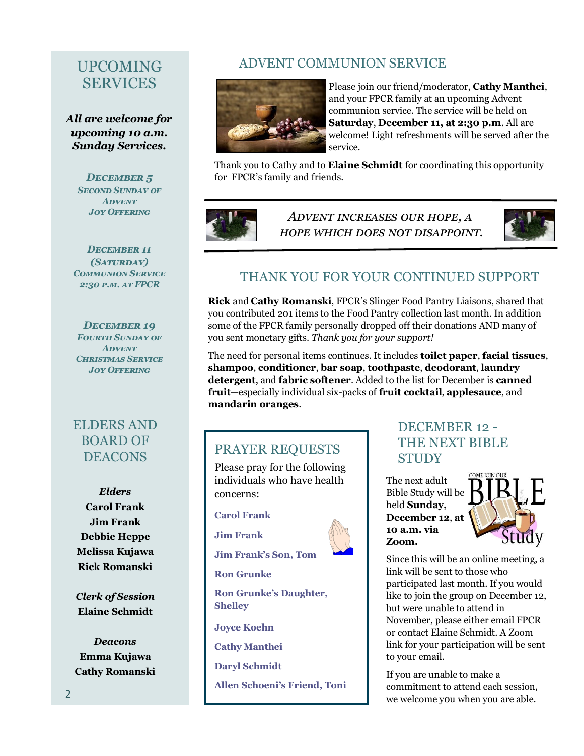# UPCOMING SERVICES

*All are welcome for upcoming 10 a.m. Sunday Services.*

> *December 5 Second Sunday of Advent Joy Offering*

*December 11 (Saturday) Communion Service 2:30 p.m. at FPCR*

*December 19 Fourth Sunday of Advent Christmas Service Joy Offering*

# ELDERS AND BOARD OF **DEACONS**

*Elders* **Carol Frank Jim Frank Debbie Heppe Melissa Kujawa Rick Romanski**

*Clerk of Session* **Elaine Schmidt**

*Deacons* **Emma Kujawa Cathy Romanski**

# ADVENT COMMUNION SERVICE



Please join our friend/moderator, **Cathy Manthei**, and your FPCR family at an upcoming Advent communion service. The service will be held on **Saturday**, **December 11, at 2:30 p.m**. All are welcome! Light refreshments will be served after the service.

Thank you to Cathy and to **Elaine Schmidt** for coordinating this opportunity for FPCR's family and friends.



*Advent increases our hope, a hope which does not disappoint.*



# THANK YOU FOR YOUR CONTINUED SUPPORT

**Rick** and **Cathy Romanski**, FPCR's Slinger Food Pantry Liaisons, shared that you contributed 201 items to the Food Pantry collection last month. In addition some of the FPCR family personally dropped off their donations AND many of you sent monetary gifts. *Thank you for your support!* 

The need for personal items continues. It includes **toilet paper**, **facial tissues**, **shampoo**, **conditioner**, **bar soap**, **toothpaste**, **deodorant**, **laundry detergent**, and **fabric softener**. Added to the list for December is **canned fruit**—especially individual six-packs of **fruit cocktail**, **applesauce**, and **mandarin oranges**.

### PRAYER REQUESTS

Please pray for the following individuals who have health concerns:

**Carol Frank**

**Jim Frank**



**Jim Frank's Son, Tom**

**Ron Grunke**

**Ron Grunke's Daughter, Shelley**

**Joyce Koehn**

**Cathy Manthei**

**Daryl Schmidt**

**Allen Schoeni's Friend, Toni** 

# DECEMBER 12 - THE NEXT BIBLE **STIIDY**

The next adult Bible Study will be held **Sunday, December 12**, **at 10 a.m. via Zoom.**



Since this will be an online meeting, a link will be sent to those who participated last month. If you would like to join the group on December 12, but were unable to attend in November, please either email FPCR or contact Elaine Schmidt. A Zoom link for your participation will be sent to your email.

If you are unable to make a commitment to attend each session, we welcome y0u when you are able.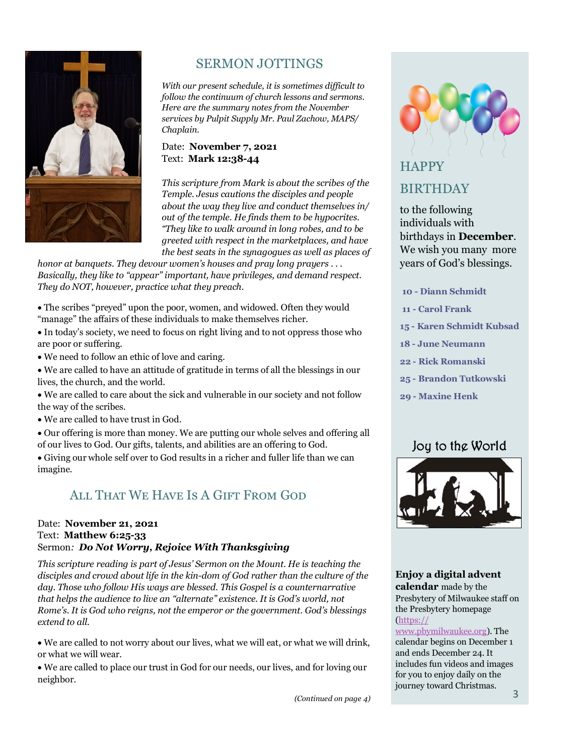

# SERMON JOTTINGS

*With our present schedule, it is sometimes difficult to follow the continuum of church lessons and sermons. Here are the summary notes from the November services by Pulpit Supply Mr. Paul Zachow, MAPS/ Chaplain.*

### Date: **November 7, 2021** Text: **Mark 12:38-44**

*This scripture from Mark is about the scribes of the Temple. Jesus cautions the disciples and people about the way they live and conduct themselves in/ out of the temple. He finds them to be hypocrites. "They like to walk around in long robes, and to be greeted with respect in the marketplaces, and have the best seats in the synagogues as well as places of* 

*honor at banquets. They devour women's houses and pray long prayers . . . Basically, they like to "appear" important, have privileges, and demand respect. They do NOT, however, practice what they preach.*

• The scribes "preyed" upon the poor, women, and widowed. Often they would "manage" the affairs of these individuals to make themselves richer.

• In today's society, we need to focus on right living and to not oppress those who are poor or suffering.

• We need to follow an ethic of love and caring.

• We are called to have an attitude of gratitude in terms of all the blessings in our lives, the church, and the world.

• We are called to care about the sick and vulnerable in our society and not follow the way of the scribes.

• We are called to have trust in God.

• Our offering is more than money. We are putting our whole selves and offering all of our lives to God. Our gifts, talents, and abilities are an offering to God.

• Giving our whole self over to God results in a richer and fuller life than we can imagine.

# All That We Have Is A Gift From God

### Date: **November 21, 2021** Text: **Matthew 6:25-33** Sermon*: Do Not Worry, Rejoice With Thanksgiving*

*This scripture reading is part of Jesus' Sermon on the Mount. He is teaching the disciples and crowd about life in the kin-dom of God rather than the culture of the day. Those who follow His ways are blessed. This Gospel is a counternarrative that helps the audience to live an "alternate" existence. It is God's world, not Rome's. It is God who reigns, not the emperor or the government. God's blessings extend to all.*

• We are called to not worry about our lives, what we will eat, or what we will drink, or what we will wear.

• We are called to place our trust in God for our needs, our lives, and for loving our neighbor.



# **HAPPY** BIRTHDAY

to the following individuals with birthdays in **December**. We wish you many more years of God's blessings.

- **10 - Diann Schmidt**
- **11 - Carol Frank**
- **15 - Karen Schmidt Kubsad**
- **18 - June Neumann**
- **22 - Rick Romanski**
- **25 - Brandon Tutkowski**
- **29 - Maxine Henk**

# Joy to the World



### **Enjoy a digital advent**

**calendar** made by the Presbytery of Milwaukee staff on the Presbytery homepage [\(https://](https://www.pbymilwaukee.org)

### [www.pbymilwaukee.org\).](https://www.pbymilwaukee.org) The calendar begins on December 1 and ends December 24. It includes fun videos and images for you to enjoy daily on the journey toward Christmas.